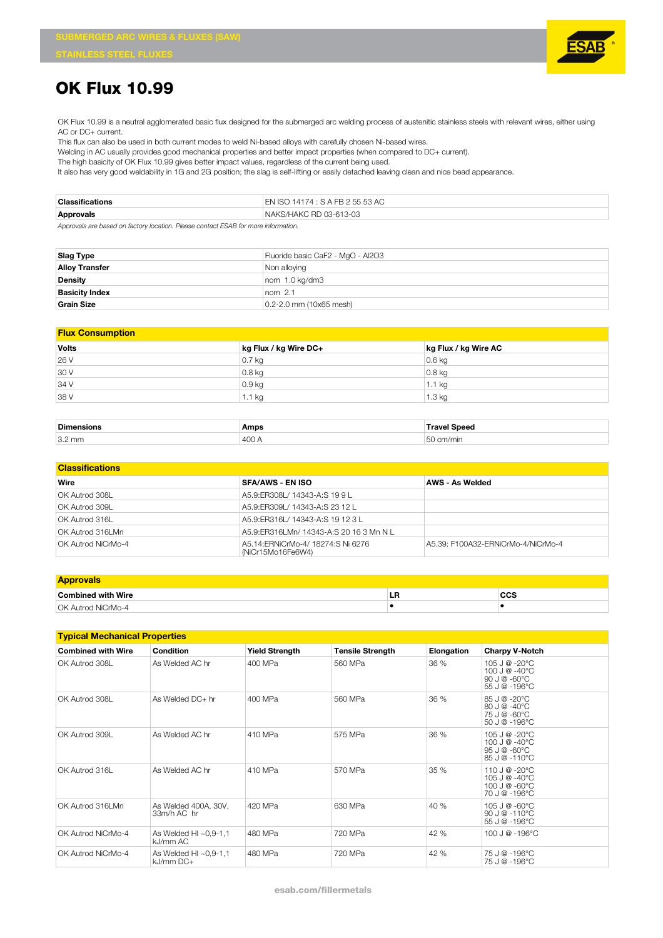

## **OK Flux 10.99**

OK Flux 10.99 is a neutral agglomerated basic flux designed for the submerged arc welding process of austenitic stainless steels with relevant wires, either using AC or DC+ current.

This flux can also be used in both current modes to weld Ni-based alloys with carefully chosen Ni-based wires.

Welding in AC usually provides good mechanical properties and better impact properties (when compared to DC+ current).

The high basicity of OK Flux 10.99 gives better impact values, regardless of the current being used.

It also has very good weldability in 1G and 2G position; the slag is self-lifting or easily detached leaving clean and nice bead appearance.

| <b>Classifications</b>                                                          | EN ISO 14174 : S A FB 2 55 53 AC |  |  |
|---------------------------------------------------------------------------------|----------------------------------|--|--|
| Approvals                                                                       | NAKS/HAKC RD 03-613-03           |  |  |
| Accounts on board on Colonial Director Direct control FOAD Concerns information |                                  |  |  |

*Approvals are based on factory location. Please contact ESAB for more information.*

| Slag Type             | Fluoride basic CaF2 - MgO - Al2O3 |  |  |  |
|-----------------------|-----------------------------------|--|--|--|
| <b>Alloy Transfer</b> | Non alloying                      |  |  |  |
| <b>Density</b>        | nom 1.0 kg/dm3                    |  |  |  |
| <b>Basicity Index</b> | $nom$ 2.1                         |  |  |  |
| <b>Grain Size</b>     | $0.2 - 2.0$ mm (10x65 mesh)       |  |  |  |

| <b>Flux Consumption</b> |                       |                      |  |  |  |
|-------------------------|-----------------------|----------------------|--|--|--|
| Volts                   | kg Flux / kg Wire DC+ | kg Flux / kg Wire AC |  |  |  |
| 26 V                    | $0.7$ kg              | $0.6$ kg             |  |  |  |
| 30 V                    | $0.8$ kg              | $0.8$ kg             |  |  |  |
| 34 V                    | $0.9$ kg              | $1.1$ kg             |  |  |  |
| 38 V                    | $1.1$ kg              | $1.3$ kg             |  |  |  |
|                         |                       |                      |  |  |  |

| <b>Dimen</b>     | Amps             |   |
|------------------|------------------|---|
| $3.2 \text{ mm}$ | $\Lambda$ $\cap$ | ш |

| <b>Classifications</b> |                                                         |                                    |  |  |  |  |
|------------------------|---------------------------------------------------------|------------------------------------|--|--|--|--|
| Wire                   | <b>SFA/AWS - EN ISO</b>                                 | AWS - As Welded                    |  |  |  |  |
| OK Autrod 308L         | A5.9:ER308L/ 14343-A:S 19 9 L                           |                                    |  |  |  |  |
| OK Autrod 309L         | A5.9: FR309L / 14343-A: S 23 12 L                       |                                    |  |  |  |  |
| OK Autrod 316L         | A5.9: ER316L / 14343-A: S 19 12 3L                      |                                    |  |  |  |  |
| OK Autrod 316LMn       | A5.9: ER316LMn/ 14343-A: S 20 16 3 Mn N L               |                                    |  |  |  |  |
| OK Autrod NiCrMo-4     | A5.14: ERNiCrMo-4/ 18274: SNi 6276<br>(NiCr15Mo16Fe6W4) | A5.39: F100A32-ERNiCrMo-4/NiCrMo-4 |  |  |  |  |

| <b>Approvals</b>   |    |              |
|--------------------|----|--------------|
| Combined with Wire | ьn | $\sim$<br>60 |
| OK Autrod NiCrMo-4 |    |              |

| <b>Typical Mechanical Properties</b> |                                          |                       |                         |                   |                                                                               |  |
|--------------------------------------|------------------------------------------|-----------------------|-------------------------|-------------------|-------------------------------------------------------------------------------|--|
| <b>Combined with Wire</b>            | Condition                                | <b>Yield Strength</b> | <b>Tensile Strength</b> | <b>Elongation</b> | <b>Charpy V-Notch</b>                                                         |  |
| OK Autrod 308L                       | As Welded AC hr                          | 400 MPa               | 560 MPa                 | 36 %              | 105 J @ -20°C<br>100 J @ -40 $^{\circ}$ C<br>90 J $@ - 60°C$<br>55 J @ -196°C |  |
| OK Autrod 308L                       | As Welded DC+ hr                         | 400 MPa               | 560 MPa                 | 36 %              | 85 J @ -20°C<br>$80 J @ -40°C$<br>75 J @ -60°C<br>50 J @ -196°C               |  |
| OK Autrod 309L                       | As Welded AC hr                          | 410 MPa               | 575 MPa                 | 36 %              | 105 J @ -20°C<br>100 J @ -40°C<br>$95J@ - 60°C$<br>85 J @ -110°C              |  |
| OK Autrod 316L                       | As Welded AC hr                          | 410 MPa               | 570 MPa                 | 35 %              | 110 J @ -20°C<br>105 J @ -40°C<br>100 J @ -60°C<br>70 J @ -196°C              |  |
| OK Autrod 316LMn                     | As Welded 400A, 30V,<br>33m/h AC hr      | 420 MPa               | 630 MPa                 | 40 %              | 105 J @ -60°C<br>$90 J @ -110°C$<br>55 J @ -196°C                             |  |
| OK Autrod NiCrMo-4                   | As Welded HI $\sim$ 0,9-1,1<br>kJ/mm AC  | 480 MPa               | 720 MPa                 | 42 %              | 100 J @ -196°C                                                                |  |
| OK Autrod NiCrMo-4                   | As Welded HI $\sim$ 0,9-1,1<br>kJ/mm DC+ | 480 MPa               | 720 MPa                 | 42 %              | 75 J @ -196°C<br>75 J @ -196°C                                                |  |